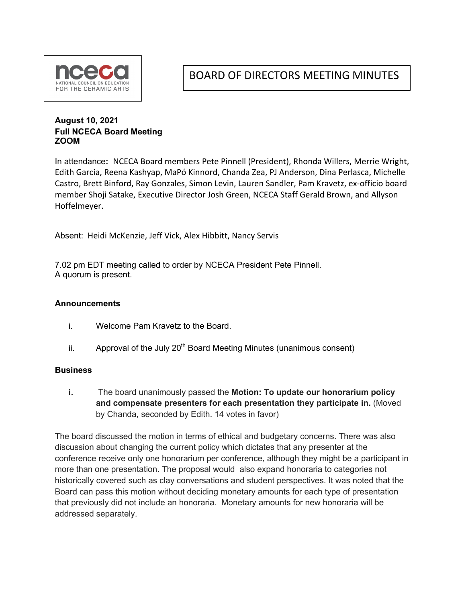

BOARD OF DIRECTORS MEETING MINUTES

### **August 10, 2021 Full NCECA Board Meeting ZOOM**

In attendance**:** NCECA Board members Pete Pinnell (President), Rhonda Willers, Merrie Wright, Edith Garcia, Reena Kashyap, MaPó Kinnord, Chanda Zea, PJ Anderson, Dina Perlasca, Michelle Castro, Brett Binford, Ray Gonzales, Simon Levin, Lauren Sandler, Pam Kravetz, ex-officio board member Shoji Satake, Executive Director Josh Green, NCECA Staff Gerald Brown, and Allyson Hoffelmeyer.

Absent: Heidi McKenzie, Jeff Vick, Alex Hibbitt, Nancy Servis

7.02 pm EDT meeting called to order by NCECA President Pete Pinnell. A quorum is present.

#### **Announcements**

- i. Welcome Pam Kravetz to the Board.
- ii. Approval of the July  $20<sup>th</sup>$  Board Meeting Minutes (unanimous consent)

#### **Business**

**i.** The board unanimously passed the **Motion: To update our honorarium policy and compensate presenters for each presentation they participate in.** (Moved by Chanda, seconded by Edith. 14 votes in favor)

The board discussed the motion in terms of ethical and budgetary concerns. There was also discussion about changing the current policy which dictates that any presenter at the conference receive only one honorarium per conference, although they might be a participant in more than one presentation. The proposal would also expand honoraria to categories not historically covered such as clay conversations and student perspectives. It was noted that the Board can pass this motion without deciding monetary amounts for each type of presentation that previously did not include an honoraria. Monetary amounts for new honoraria will be addressed separately.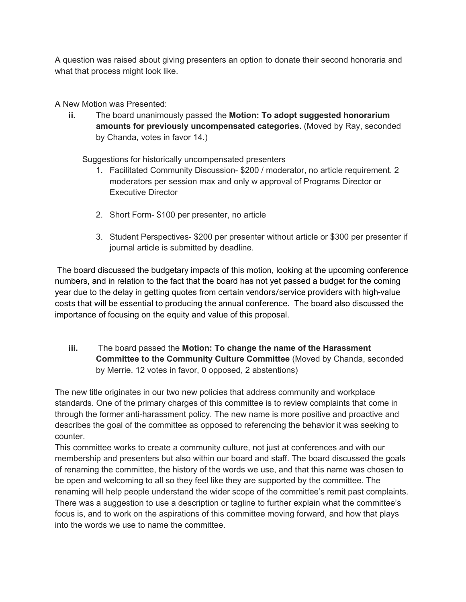A question was raised about giving presenters an option to donate their second honoraria and what that process might look like.

A New Motion was Presented:

**ii.** The board unanimously passed the **Motion: To adopt suggested honorarium amounts for previously uncompensated categories.** (Moved by Ray, seconded by Chanda, votes in favor 14.)

Suggestions for historically uncompensated presenters

- 1. Facilitated Community Discussion- \$200 / moderator, no article requirement. 2 moderators per session max and only w approval of Programs Director or Executive Director
- 2. Short Form- \$100 per presenter, no article
- 3. Student Perspectives- \$200 per presenter without article or \$300 per presenter if journal article is submitted by deadline.

The board discussed the budgetary impacts of this motion, looking at the upcoming conference numbers, and in relation to the fact that the board has not yet passed a budget for the coming year due to the delay in getting quotes from certain vendors/service providers with high-value costs that will be essential to producing the annual conference. The board also discussed the importance of focusing on the equity and value of this proposal.

**iii.** The board passed the **Motion: To change the name of the Harassment Committee to the Community Culture Committee** (Moved by Chanda, seconded by Merrie. 12 votes in favor, 0 opposed, 2 abstentions)

The new title originates in our two new policies that address community and workplace standards. One of the primary charges of this committee is to review complaints that come in through the former anti-harassment policy. The new name is more positive and proactive and describes the goal of the committee as opposed to referencing the behavior it was seeking to counter.

This committee works to create a community culture, not just at conferences and with our membership and presenters but also within our board and staff. The board discussed the goals of renaming the committee, the history of the words we use, and that this name was chosen to be open and welcoming to all so they feel like they are supported by the committee. The renaming will help people understand the wider scope of the committee's remit past complaints. There was a suggestion to use a description or tagline to further explain what the committee's focus is, and to work on the aspirations of this committee moving forward, and how that plays into the words we use to name the committee.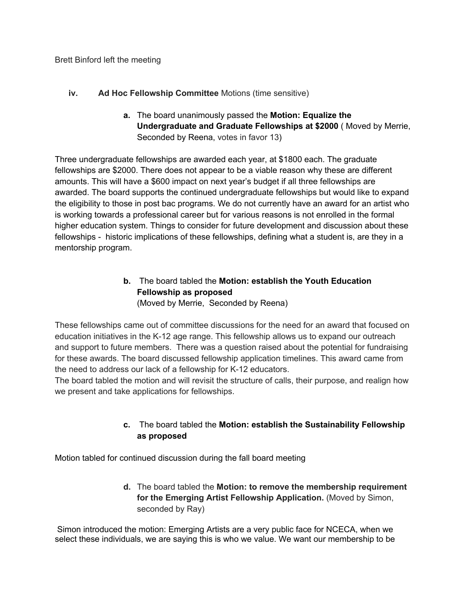#### **iv. Ad Hoc Fellowship Committee** Motions (time sensitive)

**a.** The board unanimously passed the **Motion: Equalize the Undergraduate and Graduate Fellowships at \$2000** ( Moved by Merrie, Seconded by Reena, votes in favor 13)

Three undergraduate fellowships are awarded each year, at \$1800 each. The graduate fellowships are \$2000. There does not appear to be a viable reason why these are different amounts. This will have a \$600 impact on next year's budget if all three fellowships are awarded. The board supports the continued undergraduate fellowships but would like to expand the eligibility to those in post bac programs. We do not currently have an award for an artist who is working towards a professional career but for various reasons is not enrolled in the formal higher education system. Things to consider for future development and discussion about these fellowships - historic implications of these fellowships, defining what a student is, are they in a mentorship program.

# **b.** The board tabled the **Motion: establish the Youth Education Fellowship as proposed**

(Moved by Merrie, Seconded by Reena)

These fellowships came out of committee discussions for the need for an award that focused on education initiatives in the K-12 age range. This fellowship allows us to expand our outreach and support to future members. There was a question raised about the potential for fundraising for these awards. The board discussed fellowship application timelines. This award came from the need to address our lack of a fellowship for K-12 educators.

The board tabled the motion and will revisit the structure of calls, their purpose, and realign how we present and take applications for fellowships.

## **c.** The board tabled the **Motion: establish the Sustainability Fellowship as proposed**

Motion tabled for continued discussion during the fall board meeting

**d.** The board tabled the **Motion: to remove the membership requirement for the Emerging Artist Fellowship Application.** (Moved by Simon, seconded by Ray)

Simon introduced the motion: Emerging Artists are a very public face for NCECA, when we select these individuals, we are saying this is who we value. We want our membership to be